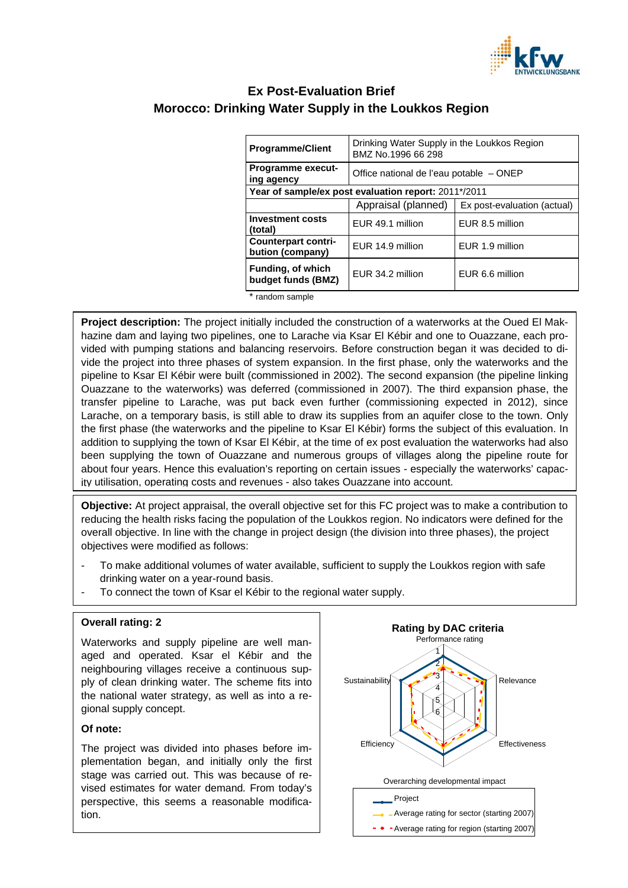

# **Ex Post-Evaluation Brief Morocco: Drinking Water Supply in the Loukkos Region**

| <b>Programme/Client</b>                              | Drinking Water Supply in the Loukkos Region<br>BMZ No.1996 66 298 |                             |
|------------------------------------------------------|-------------------------------------------------------------------|-----------------------------|
| <b>Programme execut-</b><br>ing agency               | Office national de l'eau potable - ONEP                           |                             |
| Year of sample/ex post evaluation report: 2011*/2011 |                                                                   |                             |
|                                                      | Appraisal (planned)                                               | Ex post-evaluation (actual) |
| <b>Investment costs</b><br>(total)                   | EUR 49.1 million                                                  | EUR 8.5 million             |
| <b>Counterpart contri-</b><br>bution (company)       | EUR 14.9 million                                                  | EUR 1.9 million             |
| Funding, of which<br>budget funds (BMZ)              | EUR 34.2 million                                                  | EUR 6.6 million             |
| * random sample                                      |                                                                   |                             |

\* random sample

**Project description:** The project initially included the construction of a waterworks at the Oued El Makhazine dam and laying two pipelines, one to Larache via Ksar El Kébir and one to Ouazzane, each provided with pumping stations and balancing reservoirs. Before construction began it was decided to divide the project into three phases of system expansion. In the first phase, only the waterworks and the pipeline to Ksar El Kébir were built (commissioned in 2002). The second expansion (the pipeline linking Ouazzane to the waterworks) was deferred (commissioned in 2007). The third expansion phase, the transfer pipeline to Larache, was put back even further (commissioning expected in 2012), since Larache, on a temporary basis, is still able to draw its supplies from an aquifer close to the town. Only the first phase (the waterworks and the pipeline to Ksar El Kébir) forms the subject of this evaluation. In addition to supplying the town of Ksar El Kébir, at the time of ex post evaluation the waterworks had also been supplying the town of Ouazzane and numerous groups of villages along the pipeline route for about four years. Hence this evaluation's reporting on certain issues - especially the waterworks' capacity utilisation, operating costs and revenues - also takes Ouazzane into account.

**Objective:** At project appraisal, the overall objective set for this FC project was to make a contribution to reducing the health risks facing the population of the Loukkos region. No indicators were defined for the overall objective. In line with the change in project design (the division into three phases), the project objectives were modified as follows:

- To make additional volumes of water available, sufficient to supply the Loukkos region with safe drinking water on a year-round basis.
- To connect the town of Ksar el Kébir to the regional water supply.

Waterworks and supply pipeline are well managed and operated. Ksar el Kébir and the neighbouring villages receive a continuous supply of clean drinking water. The scheme fits into the national water strategy, as well as into a regional supply concept.

### **Of note:**

The project was divided into phases before implementation began, and initially only the first stage was carried out. This was because of revised estimates for water demand*.* From today's perspective, this seems a reasonable modification.

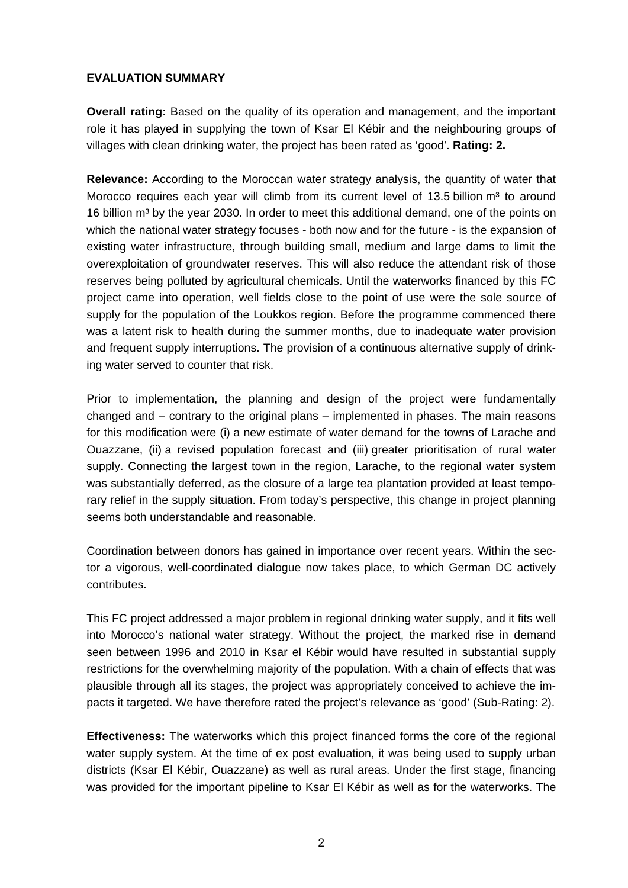## **EVALUATION SUMMARY**

**Overall rating:** Based on the quality of its operation and management, and the important role it has played in supplying the town of Ksar El Kébir and the neighbouring groups of villages with clean drinking water, the project has been rated as 'good'. **Rating: 2.**

**Relevance:** According to the Moroccan water strategy analysis, the quantity of water that Morocco requires each year will climb from its current level of 13.5 billion  $m<sup>3</sup>$  to around 16 billion m<sup>3</sup> by the year 2030. In order to meet this additional demand, one of the points on which the national water strategy focuses - both now and for the future - is the expansion of existing water infrastructure, through building small, medium and large dams to limit the overexploitation of groundwater reserves. This will also reduce the attendant risk of those reserves being polluted by agricultural chemicals. Until the waterworks financed by this FC project came into operation, well fields close to the point of use were the sole source of supply for the population of the Loukkos region. Before the programme commenced there was a latent risk to health during the summer months, due to inadequate water provision and frequent supply interruptions. The provision of a continuous alternative supply of drinking water served to counter that risk.

Prior to implementation, the planning and design of the project were fundamentally changed and – contrary to the original plans – implemented in phases. The main reasons for this modification were (i) a new estimate of water demand for the towns of Larache and Ouazzane, (ii) a revised population forecast and (iii) greater prioritisation of rural water supply. Connecting the largest town in the region, Larache, to the regional water system was substantially deferred, as the closure of a large tea plantation provided at least temporary relief in the supply situation. From today's perspective, this change in project planning seems both understandable and reasonable.

Coordination between donors has gained in importance over recent years. Within the sector a vigorous, well-coordinated dialogue now takes place, to which German DC actively contributes.

This FC project addressed a major problem in regional drinking water supply, and it fits well into Morocco's national water strategy. Without the project, the marked rise in demand seen between 1996 and 2010 in Ksar el Kébir would have resulted in substantial supply restrictions for the overwhelming majority of the population. With a chain of effects that was plausible through all its stages, the project was appropriately conceived to achieve the impacts it targeted. We have therefore rated the project's relevance as 'good' (Sub-Rating: 2).

**Effectiveness:** The waterworks which this project financed forms the core of the regional water supply system. At the time of ex post evaluation, it was being used to supply urban districts (Ksar El Kébir, Ouazzane) as well as rural areas. Under the first stage, financing was provided for the important pipeline to Ksar El Kébir as well as for the waterworks. The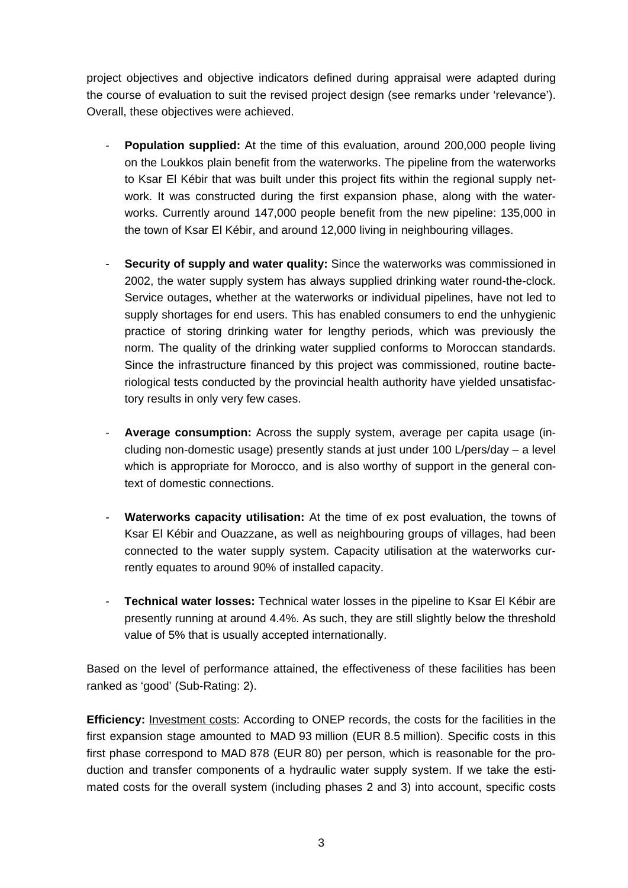project objectives and objective indicators defined during appraisal were adapted during the course of evaluation to suit the revised project design (see remarks under 'relevance'). Overall, these objectives were achieved.

- **Population supplied:** At the time of this evaluation, around 200,000 people living on the Loukkos plain benefit from the waterworks. The pipeline from the waterworks to Ksar El Kébir that was built under this project fits within the regional supply network. It was constructed during the first expansion phase, along with the waterworks. Currently around 147,000 people benefit from the new pipeline: 135,000 in the town of Ksar El Kébir, and around 12,000 living in neighbouring villages.
- **Security of supply and water quality:** Since the waterworks was commissioned in 2002, the water supply system has always supplied drinking water round-the-clock. Service outages, whether at the waterworks or individual pipelines, have not led to supply shortages for end users. This has enabled consumers to end the unhygienic practice of storing drinking water for lengthy periods, which was previously the norm. The quality of the drinking water supplied conforms to Moroccan standards. Since the infrastructure financed by this project was commissioned, routine bacteriological tests conducted by the provincial health authority have yielded unsatisfactory results in only very few cases.
- Average consumption: Across the supply system, average per capita usage (including non-domestic usage) presently stands at just under 100 L/pers/day – a level which is appropriate for Morocco, and is also worthy of support in the general context of domestic connections.
- **Waterworks capacity utilisation:** At the time of ex post evaluation, the towns of Ksar El Kébir and Ouazzane, as well as neighbouring groups of villages, had been connected to the water supply system. Capacity utilisation at the waterworks currently equates to around 90% of installed capacity.
- **Technical water losses:** Technical water losses in the pipeline to Ksar El Kébir are presently running at around 4.4%. As such, they are still slightly below the threshold value of 5% that is usually accepted internationally.

Based on the level of performance attained, the effectiveness of these facilities has been ranked as 'good' (Sub-Rating: 2).

**Efficiency:** Investment costs: According to ONEP records, the costs for the facilities in the first expansion stage amounted to MAD 93 million (EUR 8.5 million). Specific costs in this first phase correspond to MAD 878 (EUR 80) per person, which is reasonable for the production and transfer components of a hydraulic water supply system. If we take the estimated costs for the overall system (including phases 2 and 3) into account, specific costs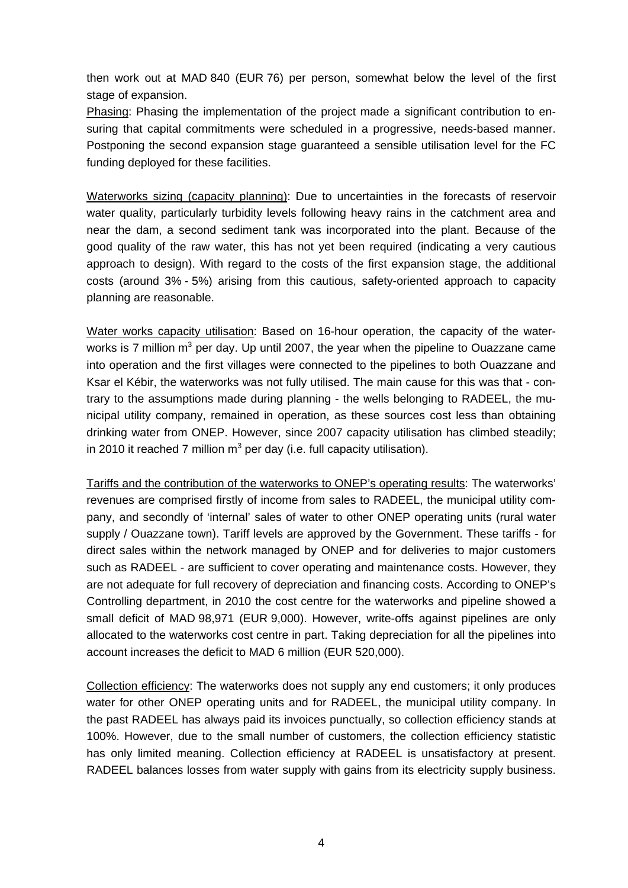then work out at MAD 840 (EUR 76) per person, somewhat below the level of the first stage of expansion.

Phasing: Phasing the implementation of the project made a significant contribution to ensuring that capital commitments were scheduled in a progressive, needs-based manner. Postponing the second expansion stage guaranteed a sensible utilisation level for the FC funding deployed for these facilities.

Waterworks sizing (capacity planning): Due to uncertainties in the forecasts of reservoir water quality, particularly turbidity levels following heavy rains in the catchment area and near the dam, a second sediment tank was incorporated into the plant. Because of the good quality of the raw water, this has not yet been required (indicating a very cautious approach to design). With regard to the costs of the first expansion stage, the additional costs (around 3% - 5%) arising from this cautious, safety-oriented approach to capacity planning are reasonable.

Water works capacity utilisation: Based on 16-hour operation, the capacity of the waterworks is 7 million m<sup>3</sup> per day. Up until 2007, the year when the pipeline to Ouazzane came into operation and the first villages were connected to the pipelines to both Ouazzane and Ksar el Kébir, the waterworks was not fully utilised. The main cause for this was that - contrary to the assumptions made during planning - the wells belonging to RADEEL, the municipal utility company, remained in operation, as these sources cost less than obtaining drinking water from ONEP. However, since 2007 capacity utilisation has climbed steadily; in 2010 it reached 7 million m<sup>3</sup> per day (i.e. full capacity utilisation).

Tariffs and the contribution of the waterworks to ONEP's operating results: The waterworks' revenues are comprised firstly of income from sales to RADEEL, the municipal utility company, and secondly of 'internal' sales of water to other ONEP operating units (rural water supply / Ouazzane town). Tariff levels are approved by the Government. These tariffs - for direct sales within the network managed by ONEP and for deliveries to major customers such as RADEEL - are sufficient to cover operating and maintenance costs. However, they are not adequate for full recovery of depreciation and financing costs. According to ONEP's Controlling department, in 2010 the cost centre for the waterworks and pipeline showed a small deficit of MAD 98,971 (EUR 9,000). However, write-offs against pipelines are only allocated to the waterworks cost centre in part. Taking depreciation for all the pipelines into account increases the deficit to MAD 6 million (EUR 520,000).

Collection efficiency: The waterworks does not supply any end customers; it only produces water for other ONEP operating units and for RADEEL, the municipal utility company. In the past RADEEL has always paid its invoices punctually, so collection efficiency stands at 100%. However, due to the small number of customers, the collection efficiency statistic has only limited meaning. Collection efficiency at RADEEL is unsatisfactory at present. RADEEL balances losses from water supply with gains from its electricity supply business.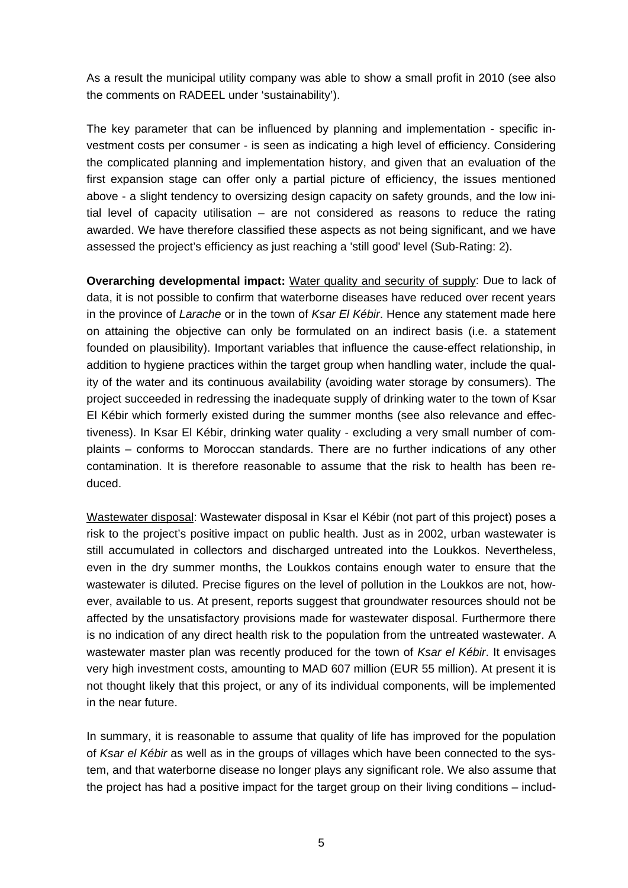As a result the municipal utility company was able to show a small profit in 2010 (see also the comments on RADEEL under 'sustainability').

The key parameter that can be influenced by planning and implementation - specific investment costs per consumer - is seen as indicating a high level of efficiency. Considering the complicated planning and implementation history, and given that an evaluation of the first expansion stage can offer only a partial picture of efficiency, the issues mentioned above - a slight tendency to oversizing design capacity on safety grounds, and the low initial level of capacity utilisation – are not considered as reasons to reduce the rating awarded. We have therefore classified these aspects as not being significant, and we have assessed the project's efficiency as just reaching a 'still good' level (Sub-Rating: 2).

**Overarching developmental impact:** Water quality and security of supply: Due to lack of data, it is not possible to confirm that waterborne diseases have reduced over recent years in the province of *Larache* or in the town of *Ksar El Kébir*. Hence any statement made here on attaining the objective can only be formulated on an indirect basis (i.e. a statement founded on plausibility). Important variables that influence the cause-effect relationship, in addition to hygiene practices within the target group when handling water, include the quality of the water and its continuous availability (avoiding water storage by consumers). The project succeeded in redressing the inadequate supply of drinking water to the town of Ksar El Kébir which formerly existed during the summer months (see also relevance and effectiveness). In Ksar El Kébir, drinking water quality - excluding a very small number of complaints – conforms to Moroccan standards. There are no further indications of any other contamination. It is therefore reasonable to assume that the risk to health has been reduced.

Wastewater disposal: Wastewater disposal in Ksar el Kébir (not part of this project) poses a risk to the project's positive impact on public health. Just as in 2002, urban wastewater is still accumulated in collectors and discharged untreated into the Loukkos. Nevertheless, even in the dry summer months, the Loukkos contains enough water to ensure that the wastewater is diluted. Precise figures on the level of pollution in the Loukkos are not, however, available to us. At present, reports suggest that groundwater resources should not be affected by the unsatisfactory provisions made for wastewater disposal. Furthermore there is no indication of any direct health risk to the population from the untreated wastewater. A wastewater master plan was recently produced for the town of *Ksar el Kébir*. It envisages very high investment costs, amounting to MAD 607 million (EUR 55 million). At present it is not thought likely that this project, or any of its individual components, will be implemented in the near future.

In summary, it is reasonable to assume that quality of life has improved for the population of *Ksar el Kébir* as well as in the groups of villages which have been connected to the system, and that waterborne disease no longer plays any significant role. We also assume that the project has had a positive impact for the target group on their living conditions – includ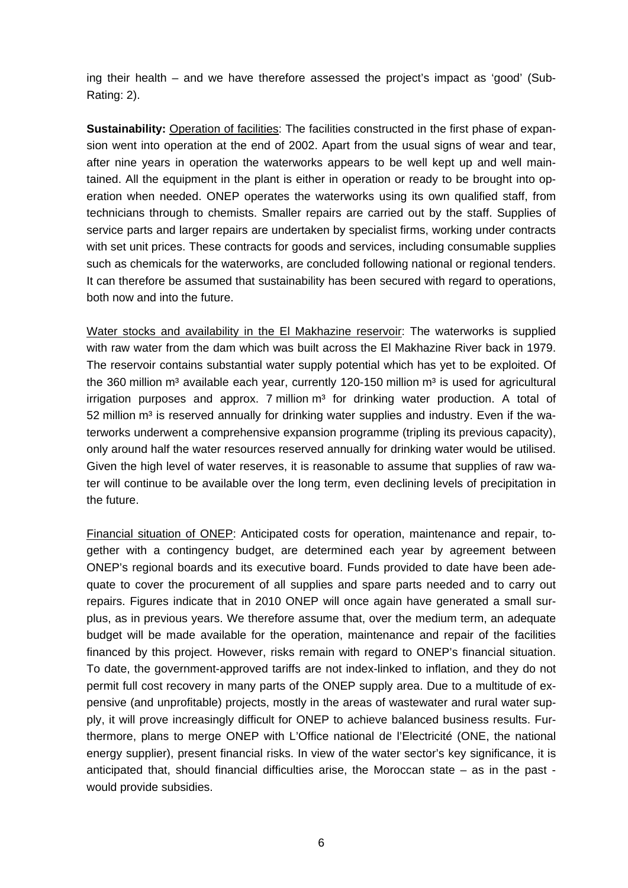ing their health – and we have therefore assessed the project's impact as 'good' (Sub-Rating: 2).

**Sustainability:** Operation of facilities: The facilities constructed in the first phase of expansion went into operation at the end of 2002. Apart from the usual signs of wear and tear, after nine years in operation the waterworks appears to be well kept up and well maintained. All the equipment in the plant is either in operation or ready to be brought into operation when needed. ONEP operates the waterworks using its own qualified staff, from technicians through to chemists. Smaller repairs are carried out by the staff. Supplies of service parts and larger repairs are undertaken by specialist firms, working under contracts with set unit prices. These contracts for goods and services, including consumable supplies such as chemicals for the waterworks, are concluded following national or regional tenders. It can therefore be assumed that sustainability has been secured with regard to operations, both now and into the future.

Water stocks and availability in the El Makhazine reservoir: The waterworks is supplied with raw water from the dam which was built across the El Makhazine River back in 1979. The reservoir contains substantial water supply potential which has yet to be exploited. Of the 360 million m<sup>3</sup> available each year, currently 120-150 million m<sup>3</sup> is used for agricultural  $i$ rrigation purposes and approx. 7 million  $m<sup>3</sup>$  for drinking water production. A total of  $52$  million  $m<sup>3</sup>$  is reserved annually for drinking water supplies and industry. Even if the waterworks underwent a comprehensive expansion programme (tripling its previous capacity), only around half the water resources reserved annually for drinking water would be utilised. Given the high level of water reserves, it is reasonable to assume that supplies of raw water will continue to be available over the long term, even declining levels of precipitation in the future.

Financial situation of ONEP: Anticipated costs for operation, maintenance and repair, together with a contingency budget, are determined each year by agreement between ONEP's regional boards and its executive board. Funds provided to date have been adequate to cover the procurement of all supplies and spare parts needed and to carry out repairs. Figures indicate that in 2010 ONEP will once again have generated a small surplus, as in previous years. We therefore assume that, over the medium term, an adequate budget will be made available for the operation, maintenance and repair of the facilities financed by this project. However, risks remain with regard to ONEP's financial situation. To date, the government-approved tariffs are not index-linked to inflation, and they do not permit full cost recovery in many parts of the ONEP supply area. Due to a multitude of expensive (and unprofitable) projects, mostly in the areas of wastewater and rural water supply, it will prove increasingly difficult for ONEP to achieve balanced business results. Furthermore, plans to merge ONEP with L'Office national de l'Electricité (ONE, the national energy supplier), present financial risks. In view of the water sector's key significance, it is anticipated that, should financial difficulties arise, the Moroccan state – as in the past would provide subsidies.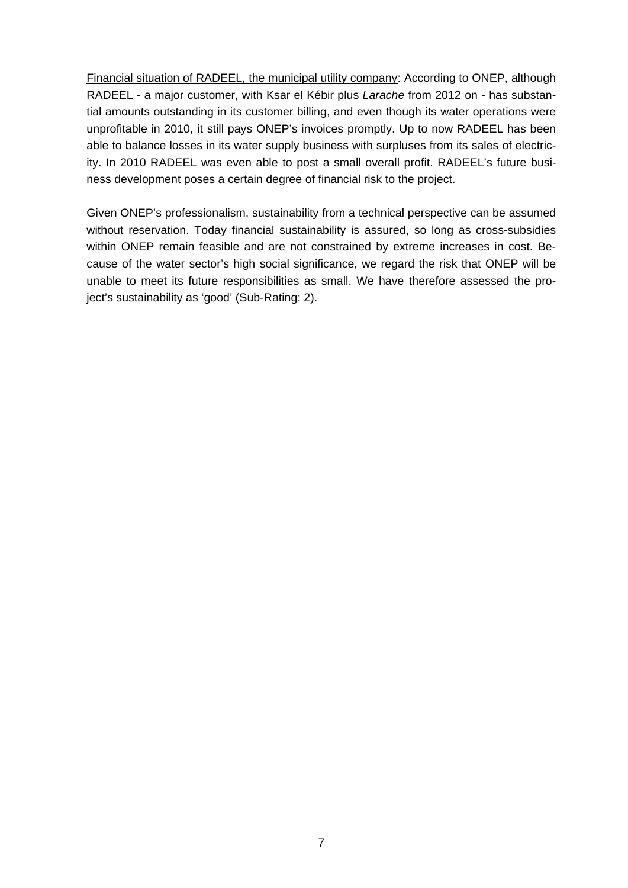Financial situation of RADEEL, the municipal utility company: According to ONEP, although RADEEL - a major customer, with Ksar el Kébir plus *Larache* from 2012 on - has substantial amounts outstanding in its customer billing, and even though its water operations were unprofitable in 2010, it still pays ONEP's invoices promptly. Up to now RADEEL has been able to balance losses in its water supply business with surpluses from its sales of electricity. In 2010 RADEEL was even able to post a small overall profit. RADEEL's future business development poses a certain degree of financial risk to the project.

Given ONEP's professionalism, sustainability from a technical perspective can be assumed without reservation. Today financial sustainability is assured, so long as cross-subsidies within ONEP remain feasible and are not constrained by extreme increases in cost. Because of the water sector's high social significance, we regard the risk that ONEP will be unable to meet its future responsibilities as small. We have therefore assessed the project's sustainability as 'good' (Sub-Rating: 2).